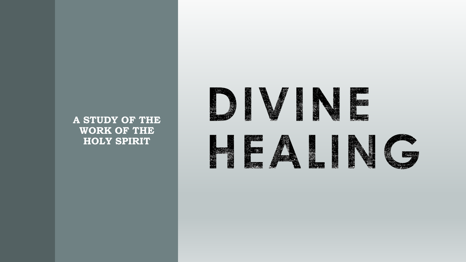#### **A STUDY OF THE WORK OF THE HOLY SPIRIT**



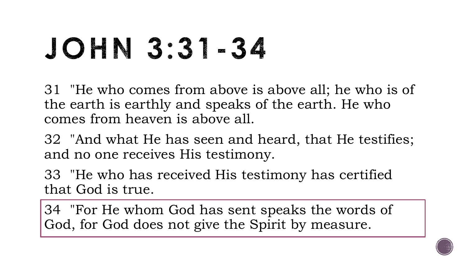## JOHN 3:31-34

31 "He who comes from above is above all; he who is of the earth is earthly and speaks of the earth. He who comes from heaven is above all.

32 "And what He has seen and heard, that He testifies; and no one receives His testimony.

33 "He who has received His testimony has certified that God is true.

34 "For He whom God has sent speaks the words of God, for God does not give the Spirit by measure.

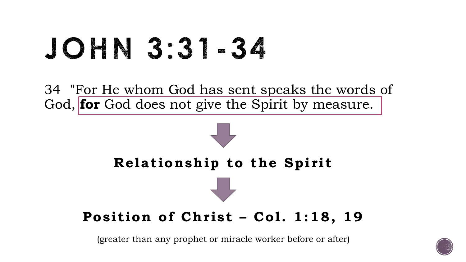## JOHN 3:31-34

34 "For He whom God has sent speaks the words of God, **for** God does not give the Spirit by measure.



#### **Position of Christ – Col. 1:18, 19**

(greater than any prophet or miracle worker before or after)

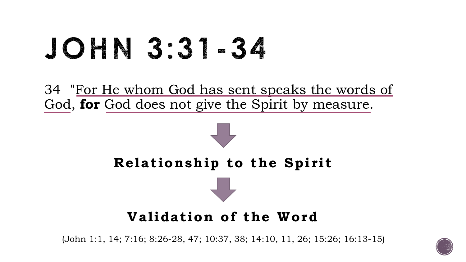## JOHN 3:31-34

34 "For He whom God has sent speaks the words of God, **for** God does not give the Spirit by measure.



#### **Validation of the Word**

(John 1:1, 14; 7:16; 8:26-28, 47; 10:37, 38; 14:10, 11, 26; 15:26; 16:13-15)

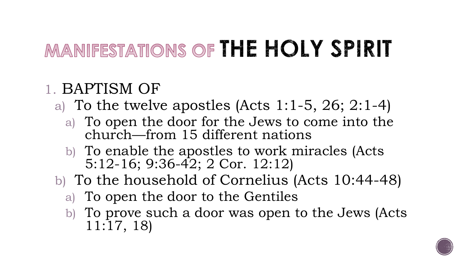### MANIFESTATIONS OF THE HOLY SPIRIT

#### 1. BAPTISM OF

- a) To the twelve apostles (Acts 1:1-5, 26; 2:1-4)
	- a) To open the door for the Jews to come into the church—from 15 different nations
	- b) To enable the apostles to work miracles (Acts 5:12-16; 9:36-42; 2 Cor. 12:12)
- b) To the household of Cornelius (Acts 10:44-48)
	- a) To open the door to the Gentiles
	- b) To prove such a door was open to the Jews (Acts 11:17, 18)

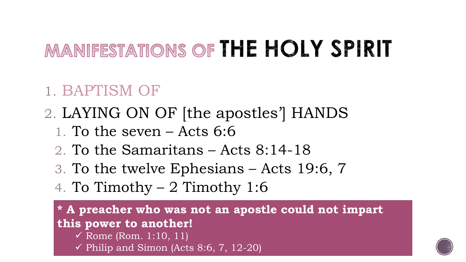### MANIFESTATIONS OF THE HOLY SPIRIT

#### 1. BAPTISM OF

#### 2. LAYING ON OF [the apostles'] HANDS

- 1. To the seven Acts 6:6
- 2. To the Samaritans Acts 8:14-18
- 3. To the twelve Ephesians Acts 19:6, 7
- 4. To Timothy 2 Timothy 1:6

**\* A preacher who was not an apostle could not impart this power to another!**  $\checkmark$  Rome (Rom. 1:10, 11)

 $\checkmark$  Philip and Simon (Acts 8:6, 7, 12-20)

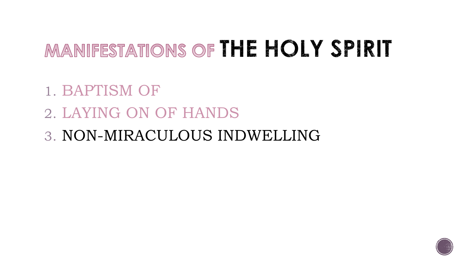#### MANIFESTATIONS OF THE HOLY SPIRIT

- 1. BAPTISM OF
- 2. LAYING ON OF HANDS
- 3. NON-MIRACULOUS INDWELLING

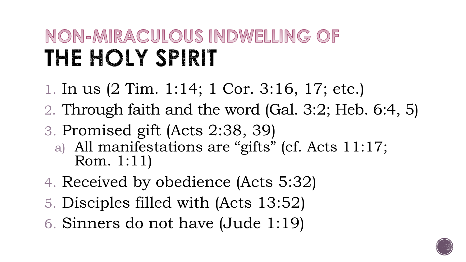### NON-MIRACULOUS INDWELLING OF THE HOLY SPIRIT

- 1. In us (2 Tim. 1:14; 1 Cor. 3:16, 17; etc.)
- 2. Through faith and the word (Gal. 3:2; Heb. 6:4, 5)
- 3. Promised gift (Acts 2:38, 39)
	- a) All manifestations are "gifts" (cf. Acts 11:17; Rom. 1:11)
- 4. Received by obedience (Acts 5:32)
- 5. Disciples filled with (Acts 13:52)
- 6. Sinners do not have (Jude 1:19)

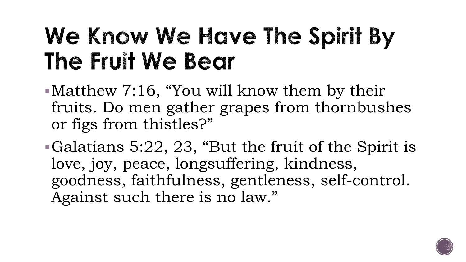### We Know We Have The Spirit By The Fruit We Bear

Matthew 7:16, "You will know them by their fruits. Do men gather grapes from thornbushes or figs from thistles?"

Galatians 5:22, 23, "But the fruit of the Spirit is love, joy, peace, longsuffering, kindness, goodness, faithfulness, gentleness, self-control. Against such there is no law."

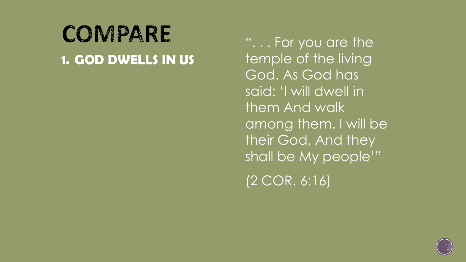#### COMPARE **1. GOD DWELLS IN US**

". . . For you are the temple of the living God. As God has said: 'I will dwell in them And walk among them. I will be their God, And they shall be My people'" (2 COR. 6:16)

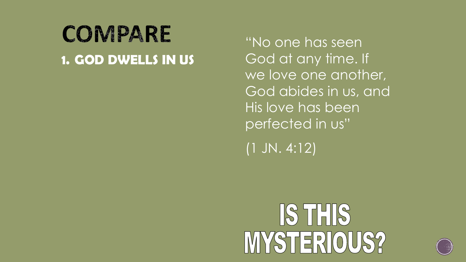#### COMPARE **1. GOD DWELLS IN US**

"No one has seen God at any time. If we love one another, God abides in us, and His love has been perfected in us"

(1 JN. 4:12)

## IS THIS MYSTERIOUS?

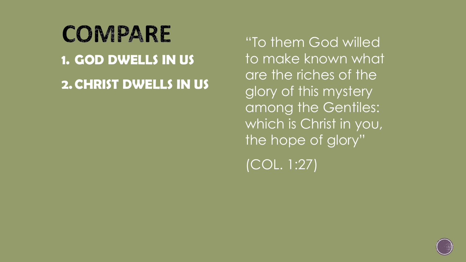### COMPARE **1. GOD DWELLS IN US 2. CHRIST DWELLS IN US**

"To them God willed to make known what are the riches of the glory of this mystery among the Gentiles: which is Christ in you, the hope of glory"

(COL. 1:27)

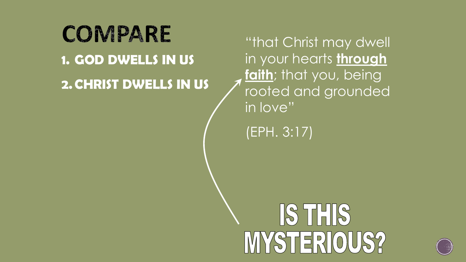COMPARE **1. GOD DWELLS IN US 2. CHRIST DWELLS IN US**

"that Christ may dwell in your hearts **through faith**; that you, being rooted and grounded in love"

(EPH. 3:17)

## IS THIS MYSTERIOUS?

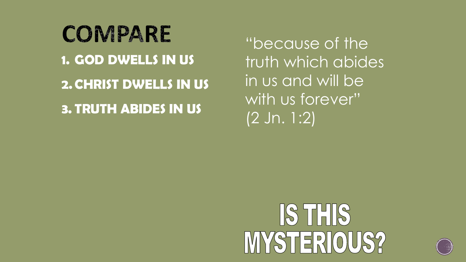COMPARE **1. GOD DWELLS IN US 2. CHRIST DWELLS IN US 3. TRUTH ABIDES IN US**

"because of the truth which abides in us and will be with us forever" (2 Jn. 1:2)

## IS THIS MYSTERIOUS?

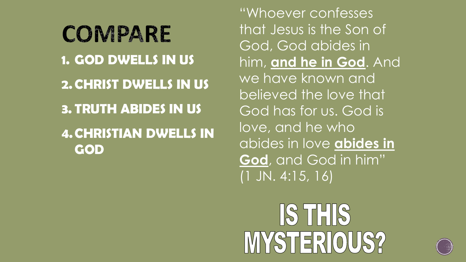COMPARE **1. GOD DWELLS IN US 2. CHRIST DWELLS IN US 3. TRUTH ABIDES IN US 4.CHRISTIAN DWELLS IN GOD**

"Whoever confesses that Jesus is the Son of God, God abides in him, **and he in God**. And we have known and believed the love that God has for us. God is love, and he who abides in love **abides in God**, and God in him" (1 JN. 4:15, 16)

1871418 STERIOUS?

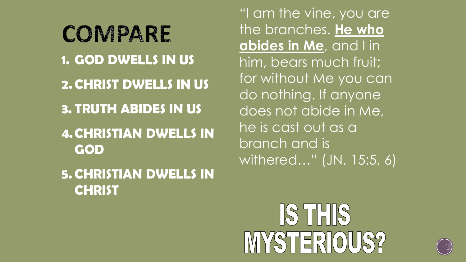COMPARE **1. GOD DWELLS IN US 2. CHRIST DWELLS IN US 3. TRUTH ABIDES IN US 4.CHRISTIAN DWELLS IN GOD 5. CHRISTIAN DWELLS IN CHRIST**

"I am the vine, you are the branches. He who **abides in Me**, and I in him, bears much fruit; for without Me you can do nothing. If anyone does not abide in Me, he is cast out as a branch and is withered…" (JN. 15:5, 6)

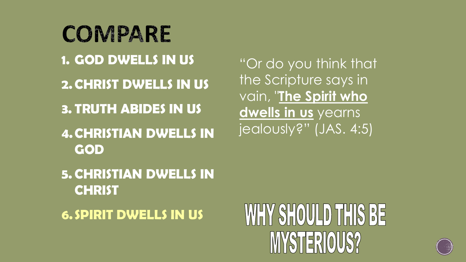COMPARE **1. GOD DWELLS IN US 2. CHRIST DWELLS IN US 3. TRUTH ABIDES IN US 4.CHRISTIAN DWELLS IN GOD**

"Or do you think that the Scripture says in vain, "**The Spirit who dwells in us** yearns jealously?" (JAS. 4:5)

**5. CHRISTIAN DWELLS IN CHRIST**

**6. SPIRIT DWELLS IN US**

### WHY SHOULD THIS BE MYSTERIOUS?

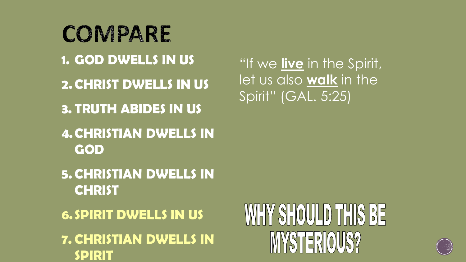COMPARE **1. GOD DWELLS IN US 2. CHRIST DWELLS IN US 3. TRUTH ABIDES IN US 4.CHRISTIAN DWELLS IN GOD 5. CHRISTIAN DWELLS IN CHRIST 6. SPIRIT DWELLS IN US 7. CHRISTIAN DWELLS IN SPIRIT**

## WHY SHOULD THIS BE MYSTERIOUS?



"If we **live** in the Spirit, let us also **walk** in the Spirit" (GAL. 5:25)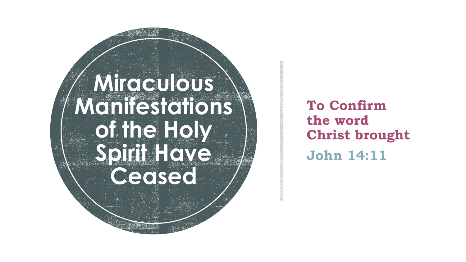### **Miraculous Manifestations of the Holy Spirit Have Ceased**

#### **To Confirm the word Christ brought John 14:11**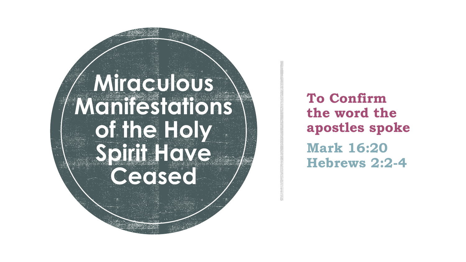### **Miraculous Manifestations of the Holy Spirit Have Ceased**

**To Confirm the word the apostles spoke Mark 16:20 Hebrews 2:2 - 4**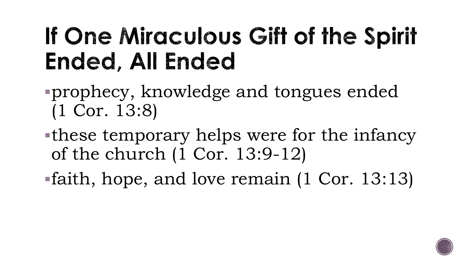### If One Miraculous Gift of the Spirit Ended, All Ended

- prophecy, knowledge and tongues ended (1 Cor. 13:8)
- these temporary helps were for the infancy of the church (1 Cor. 13:9-12)
- faith, hope, and love remain (1 Cor. 13:13)

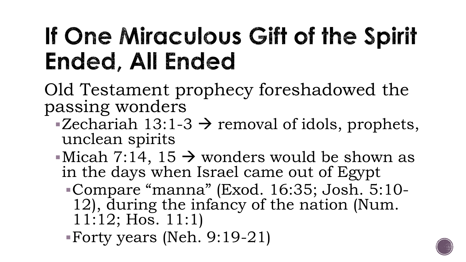### If One Miraculous Gift of the Spirit Ended, All Ended

Old Testament prophecy foreshadowed the passing wonders

- $\blacktriangleright$  Zechariah 13:1-3  $\blacktriangleright$  removal of idols, prophets, unclean spirits
- Micah 7:14, 15  $\rightarrow$  wonders would be shown as in the days when Israel came out of Egypt
	- Compare "manna" (Exod. 16:35; Josh. 5:10- 12), during the infancy of the nation (Num. 11:12; Hos. 11:1)

Forty years (Neh. 9:19-21)

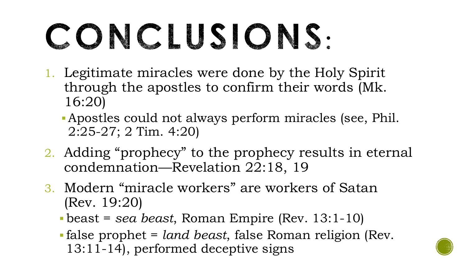# CONCLUSIONS:

- 1. Legitimate miracles were done by the Holy Spirit through the apostles to confirm their words (Mk. 16:20)
	- Apostles could not always perform miracles (see, Phil. 2:25-27; 2 Tim. 4:20)
- 2. Adding "prophecy" to the prophecy results in eternal condemnation—Revelation 22:18, 19
- 3. Modern "miracle workers" are workers of Satan (Rev. 19:20)
	- beast = *sea beast*, Roman Empire (Rev. 13:1-10)
	- false prophet = *land beast*, false Roman religion (Rev. 13:11-14), performed deceptive signs